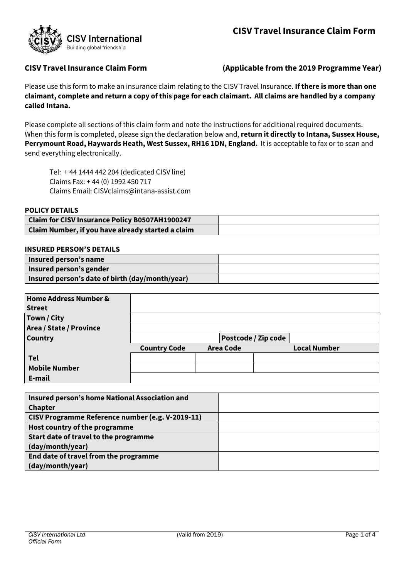

# **CISV Travel Insurance Claim Form (Applicable from the 2019 Programme Year)**

Please use this form to make an insurance claim relating to the CISV Travel Insurance. **If there is more than one claimant, complete and return a copy of this page for each claimant. All claims are handled by a company called Intana.**

Please complete all sections of this claim form and note the instructions for additional required documents. When this form is completed, please sign the declaration below and, **return it directly to Intana, Sussex House, Perrymount Road, Haywards Heath, West Sussex, RH16 1DN, England.** It is acceptable to fax or to scan and send everything electronically.

Tel: + 44 1444 442 204 (dedicated CISV line) Claims Fax: + 44 (0) 1992 450 717 Claims Email[: CISVclaims@intana-assist.com](mailto:CISVclaims@intana-assist.com)

#### **POLICY DETAILS**

| Claim for CISV Insurance Policy B0507AH1900247    |  |
|---------------------------------------------------|--|
| Claim Number, if you have already started a claim |  |

#### **INSURED PERSON'S DETAILS**

| Insured person's name                           |  |
|-------------------------------------------------|--|
| Insured person's gender                         |  |
| Insured person's date of birth (day/month/year) |  |

| Home Address Number &<br><b>Street</b> |                            |                  |                     |
|----------------------------------------|----------------------------|------------------|---------------------|
| Town / City                            |                            |                  |                     |
| <b>Area / State / Province</b>         |                            |                  |                     |
| <b>Country</b>                         | <b>Postcode / Zip code</b> |                  |                     |
|                                        | <b>Country Code</b>        | <b>Area Code</b> | <b>Local Number</b> |
| Tel                                    |                            |                  |                     |
| <b>Mobile Number</b>                   |                            |                  |                     |
| E-mail                                 |                            |                  |                     |

| Insured person's home National Association and   |  |
|--------------------------------------------------|--|
| <b>Chapter</b>                                   |  |
| CISV Programme Reference number (e.g. V-2019-11) |  |
| Host country of the programme                    |  |
| Start date of travel to the programme            |  |
| (day/month/year)                                 |  |
| End date of travel from the programme            |  |
| (day/month/year)                                 |  |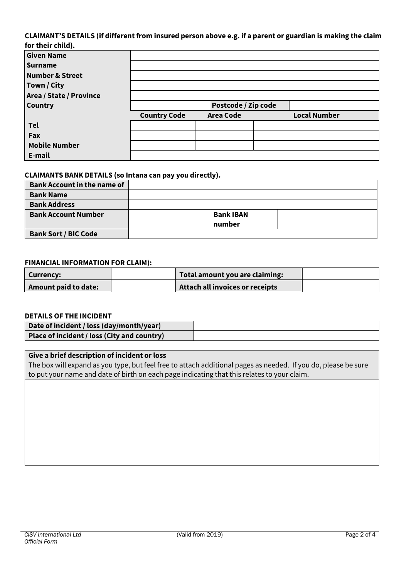#### **CLAIMANT'S DETAILS (if different from insured person above e.g. if a parent or guardian is making the claim for their child).**

| TOT LITEIT CHILD,       |                     |                  |  |                     |  |
|-------------------------|---------------------|------------------|--|---------------------|--|
| <b>Given Name</b>       |                     |                  |  |                     |  |
| <b>Surname</b>          |                     |                  |  |                     |  |
| Number & Street         |                     |                  |  |                     |  |
| Town / City             |                     |                  |  |                     |  |
| Area / State / Province |                     |                  |  |                     |  |
| <b>Country</b>          | Postcode / Zip code |                  |  |                     |  |
|                         | <b>Country Code</b> | <b>Area Code</b> |  | <b>Local Number</b> |  |
| <b>Tel</b>              |                     |                  |  |                     |  |
| Fax                     |                     |                  |  |                     |  |
| <b>Mobile Number</b>    |                     |                  |  |                     |  |
| E-mail                  |                     |                  |  |                     |  |

#### **CLAIMANTS BANK DETAILS (so Intana can pay you directly).**

| <b>Bank Account in the name of</b> |                  |
|------------------------------------|------------------|
| <b>Bank Name</b>                   |                  |
| <b>Bank Address</b>                |                  |
| <b>Bank Account Number</b>         | <b>Bank IBAN</b> |
|                                    | number           |
| <b>Bank Sort / BIC Code</b>        |                  |

### **FINANCIAL INFORMATION FOR CLAIM):**

| <b>Currency:</b>     | Total amount you are claiming:  |  |
|----------------------|---------------------------------|--|
| Amount paid to date: | Attach all invoices or receipts |  |

## **DETAILS OF THE INCIDENT**

| Date of incident / loss (day/month/year)    |  |
|---------------------------------------------|--|
| Place of incident / loss (City and country) |  |

## **Give a brief description of incident or loss**

The box will expand as you type, but feel free to attach additional pages as needed. If you do, please be sure to put your name and date of birth on each page indicating that this relates to your claim.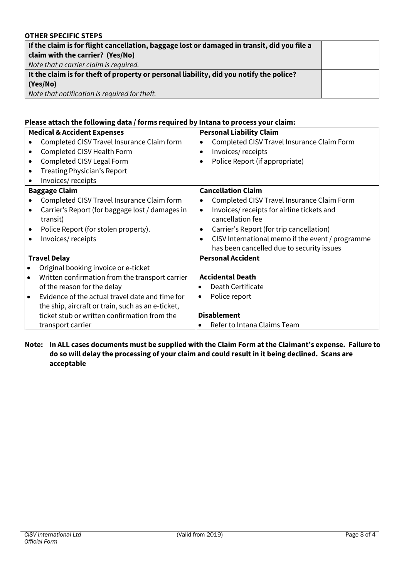# **OTHER SPECIFIC STEPS**

| If the claim is for flight cancellation, baggage lost or damaged in transit, did you file a<br>claim with the carrier? (Yes/No) |  |
|---------------------------------------------------------------------------------------------------------------------------------|--|
| Note that a carrier claim is required.                                                                                          |  |
| It the claim is for theft of property or personal liability, did you notify the police?                                         |  |
| (Yes/No)                                                                                                                        |  |
| Note that notification is required for theft.                                                                                   |  |

# **Please attach the following data / forms required by Intana to process your claim:**

| <b>Medical &amp; Accident Expenses</b>                       | <b>Personal Liability Claim</b>                               |
|--------------------------------------------------------------|---------------------------------------------------------------|
| Completed CISV Travel Insurance Claim form                   | Completed CISV Travel Insurance Claim Form                    |
| Completed CISV Health Form<br>$\bullet$                      | Invoices/receipts<br>$\bullet$                                |
| Completed CISV Legal Form<br>$\bullet$                       | Police Report (if appropriate)                                |
| Treating Physician's Report<br>$\bullet$                     |                                                               |
| Invoices/receipts<br>$\bullet$                               |                                                               |
| <b>Baggage Claim</b>                                         | <b>Cancellation Claim</b>                                     |
| Completed CISV Travel Insurance Claim form                   | Completed CISV Travel Insurance Claim Form                    |
| Carrier's Report (for baggage lost / damages in<br>$\bullet$ | Invoices/ receipts for airline tickets and<br>$\bullet$       |
| transit)                                                     | cancellation fee                                              |
| Police Report (for stolen property).                         | Carrier's Report (for trip cancellation)                      |
| Invoices/receipts<br>$\bullet$                               | CISV International memo if the event / programme<br>$\bullet$ |
|                                                              | has been cancelled due to security issues                     |
| <b>Travel Delay</b>                                          | <b>Personal Accident</b>                                      |
| Original booking invoice or e-ticket                         |                                                               |
| Written confirmation from the transport carrier<br>$\bullet$ | <b>Accidental Death</b>                                       |
| of the reason for the delay                                  | Death Certificate<br>$\bullet$                                |
| Evidence of the actual travel date and time for<br>$\bullet$ | Police report<br>$\bullet$                                    |
| the ship, aircraft or train, such as an e-ticket,            |                                                               |
| ticket stub or written confirmation from the                 | <b>Disablement</b>                                            |
| transport carrier                                            | Refer to Intana Claims Team<br>$\bullet$                      |

# **Note: In ALL cases documents must be supplied with the Claim Form at the Claimant's expense. Failure to do so will delay the processing of your claim and could result in it being declined. Scans are acceptable**